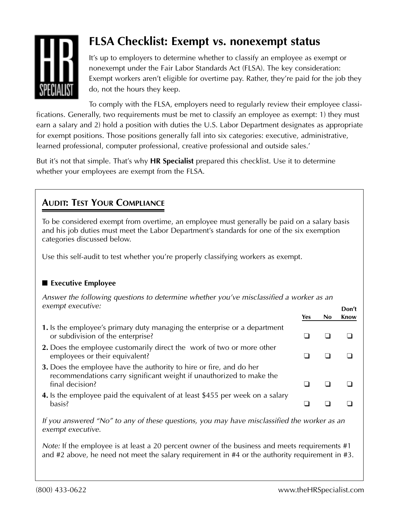

# **FLSA Checklist: Exempt vs. nonexempt status**

It's up to employers to determine whether to classify an employee as exempt or nonexempt under the Fair Labor Standards Act (FLSA). The key consideration: Exempt workers aren't eligible for overtime pay. Rather, they're paid for the job they do, not the hours they keep.

To comply with the FLSA, employers need to regularly review their employee classifications. Generally, two requirements must be met to classify an employee as exempt: 1) they must earn a salary and 2) hold a position with duties the U.S. Labor Department designates as appropriate for exempt positions. Those positions generally fall into six categories: executive, administrative, learned professional, computer professional, creative professional and outside sales.'

But it's not that simple. That's why **HR Specialist** prepared this checklist. Use it to determine whether your employees are exempt from the FLSA.

# **AUDIT: TEST YOUR COMPLIANCE**

To be considered exempt from overtime, an employee must generally be paid on a salary basis and his job duties must meet the Labor Department's standards for one of the six exemption categories discussed below.

Use this self-audit to test whether you're properly classifying workers as exempt.

## ■ **Executive Employee**

*Answer the following questions to determine whether you've misclassified a worker as an*  $\vec{P}$  *exempt executive:* 

| $C_{1}$                                                                                                                                                        |     | Don't |             |  |
|----------------------------------------------------------------------------------------------------------------------------------------------------------------|-----|-------|-------------|--|
|                                                                                                                                                                | Yes | No.   | <b>Know</b> |  |
| 1. Is the employee's primary duty managing the enterprise or a department<br>or subdivision of the enterprise?                                                 |     |       |             |  |
| 2. Does the employee customarily direct the work of two or more other<br>employees or their equivalent?                                                        |     |       |             |  |
| 3. Does the employee have the authority to hire or fire, and do her<br>recommendations carry significant weight if unauthorized to make the<br>final decision? |     |       |             |  |
| 4. Is the employee paid the equivalent of at least \$455 per week on a salary<br>basis?                                                                        |     |       |             |  |

*If you answered "No" to any of these questions, you may have misclassified the worker as an exempt executive.*

*Note:* If the employee is at least a 20 percent owner of the business and meets requirements #1 and #2 above, he need not meet the salary requirement in #4 or the authority requirement in #3.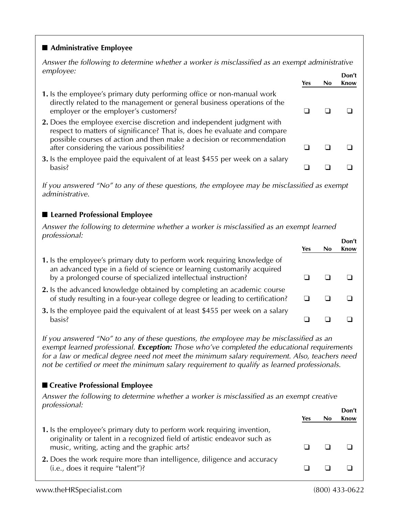#### ■ **Administrative Employee**

*Answer the following to determine whether a worker is misclassified as an exempt administrative* employee: **Don't** 

- **1.** Is the employee's primary duty performing office or non-manual work directly related to the management or general business operations of the employer or the employer's customers? **❑❑❑**
- **2.** Does the employee exercise discretion and independent judgment with respect to matters of significance? That is, does he evaluate and compare possible courses of action and then make a decision or recommendation after considering the various possibilities? **❑❑❑**
- **3.** Is the employee paid the equivalent of at least \$455 per week on a salary basis? **❑❑❑**

*If you answered "No" to any of these questions, the employee may be misclassified as exempt administrative.*

### ■ **Learned Professional Employee**

*Answer the following to determine whether a worker is misclassified as an exempt learned professional:* **Don't** 

|                                                                                                                                                                                                                       | Yes | Don't<br><b>Know</b> |
|-----------------------------------------------------------------------------------------------------------------------------------------------------------------------------------------------------------------------|-----|----------------------|
| 1. Is the employee's primary duty to perform work requiring knowledge of<br>an advanced type in a field of science or learning customarily acquired<br>by a prolonged course of specialized intellectual instruction? |     |                      |
| 2. Is the advanced knowledge obtained by completing an academic course<br>of study resulting in a four-year college degree or leading to certification?                                                               |     |                      |
| 3. Is the employee paid the equivalent of at least \$455 per week on a salary<br>basis?                                                                                                                               |     |                      |

*If you answered "No" to any of these questions, the employee may be misclassified as an exempt learned professional. Exception: Those who've completed the educational requirements for a law or medical degree need not meet the minimum salary requirement. Also, teachers need not be certified or meet the minimum salary requirement to qualify as learned professionals.*

#### ■ **Creative Professional Employee**

*Answer the following to determine whether a worker is misclassified as an exempt creative professional:* **Don't** 

|                                                                                                                                                                                                    |     | Don't |
|----------------------------------------------------------------------------------------------------------------------------------------------------------------------------------------------------|-----|-------|
|                                                                                                                                                                                                    | Yes | Know  |
| 1. Is the employee's primary duty to perform work requiring invention,<br>originality or talent in a recognized field of artistic endeavor such as<br>music, writing, acting and the graphic arts? |     |       |
| 2. Does the work require more than intelligence, diligence and accuracy<br>(i.e., does it require "talent")?                                                                                       |     |       |

**Yes No Know**